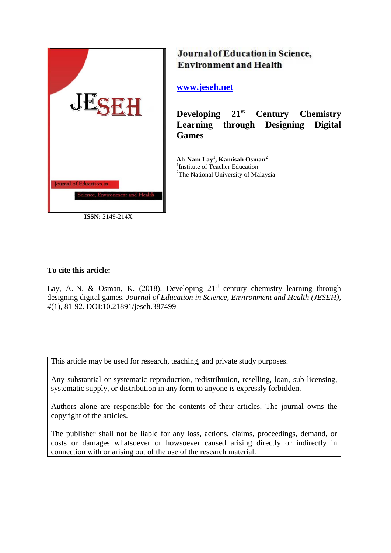

**ISSN:** 2149-214X

# Journal of Education in Science, **Environment and Health**

## **[www.jeseh.net](file:///C:/Users/mustafa/Desktop/www.jeseh.net)**

**Developing 21st Century Chemistry Learning through Designing Digital Games**

**Ah-Nam Lay<sup>1</sup> , Kamisah Osman<sup>2</sup>** 1 Institute of Teacher Education <sup>2</sup>The National University of Malaysia

## **To cite this article:**

Lay, A.-N. & Osman, K. (2018). Developing  $21<sup>st</sup>$  century chemistry learning through designing digital games. *Journal of Education in Science, Environment and Health (JESEH), 4*(1), 81-92. DOI:10.21891/jeseh.387499

This article may be used for research, teaching, and private study purposes.

Any substantial or systematic reproduction, redistribution, reselling, loan, sub-licensing, systematic supply, or distribution in any form to anyone is expressly forbidden.

Authors alone are responsible for the contents of their articles. The journal owns the copyright of the articles.

The publisher shall not be liable for any loss, actions, claims, proceedings, demand, or costs or damages whatsoever or howsoever caused arising directly or indirectly in connection with or arising out of the use of the research material.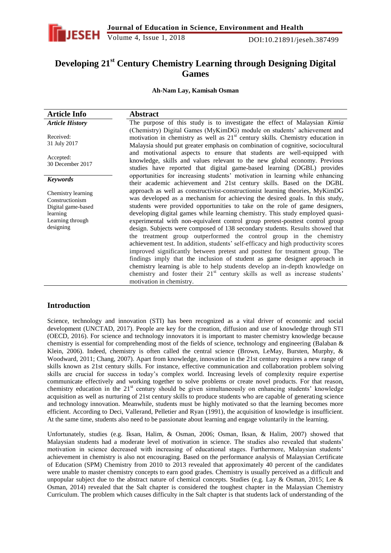

## **Developing 21st Century Chemistry Learning through Designing Digital Games**

**Ah-Nam Lay, Kamisah Osman**

| <b>Article Info</b>                                                                                      | <b>Abstract</b>                                                                                                                                                                                                                                                                                                                                                                                                                                                                                                                                                                                                                                                                                                                                                                                                                                                                                                                                                                                                                    |
|----------------------------------------------------------------------------------------------------------|------------------------------------------------------------------------------------------------------------------------------------------------------------------------------------------------------------------------------------------------------------------------------------------------------------------------------------------------------------------------------------------------------------------------------------------------------------------------------------------------------------------------------------------------------------------------------------------------------------------------------------------------------------------------------------------------------------------------------------------------------------------------------------------------------------------------------------------------------------------------------------------------------------------------------------------------------------------------------------------------------------------------------------|
| <b>Article History</b>                                                                                   | The purpose of this study is to investigate the effect of Malaysian Kimia                                                                                                                                                                                                                                                                                                                                                                                                                                                                                                                                                                                                                                                                                                                                                                                                                                                                                                                                                          |
| Received:<br>31 July 2017                                                                                | (Chemistry) Digital Games (MyKimDG) module on students' achievement and<br>motivation in chemistry as well as $21st$ century skills. Chemistry education in<br>Malaysia should put greater emphasis on combination of cognitive, sociocultural                                                                                                                                                                                                                                                                                                                                                                                                                                                                                                                                                                                                                                                                                                                                                                                     |
| Accepted:<br>30 December 2017                                                                            | and motivational aspects to ensure that students are well-equipped with<br>knowledge, skills and values relevant to the new global economy. Previous<br>studies have reported that digital game-based learning (DGBL) provides                                                                                                                                                                                                                                                                                                                                                                                                                                                                                                                                                                                                                                                                                                                                                                                                     |
| <b>Keywords</b>                                                                                          | opportunities for increasing students' motivation in learning while enhancing<br>their academic achievement and 21st century skills. Based on the DGBL                                                                                                                                                                                                                                                                                                                                                                                                                                                                                                                                                                                                                                                                                                                                                                                                                                                                             |
| Chemistry learning<br>Constructionism<br>Digital game-based<br>learning<br>Learning through<br>designing | approach as well as constructivist-constructionist learning theories, MyKimDG<br>was developed as a mechanism for achieving the desired goals. In this study,<br>students were provided opportunities to take on the role of game designers,<br>developing digital games while learning chemistry. This study employed quasi-<br>experimental with non-equivalent control group pretest-posttest control group<br>design. Subjects were composed of 138 secondary students. Results showed that<br>the treatment group outperformed the control group in the chemistry<br>achievement test. In addition, students' self-efficacy and high productivity scores<br>improved significantly between pretest and posttest for treatment group. The<br>findings imply that the inclusion of student as game designer approach in<br>chemistry learning is able to help students develop an in-depth knowledge on<br>chemistry and foster their 21 <sup>st</sup> century skills as well as increase students'<br>motivation in chemistry. |

### **Introduction**

Science, technology and innovation (STI) has been recognized as a vital driver of economic and social development (UNCTAD, 2017). People are key for the creation, diffusion and use of knowledge through STI (OECD, 2016). For science and technology innovators it is important to master chemistry knowledge because chemistry is essential for comprehending most of the fields of science, technology and engineering (Balaban & Klein, 2006). Indeed, chemistry is often called the central science (Brown, LeMay, Bursten, Murphy, & Woodward, 2011; Chang, 2007). Apart from knowledge, innovation in the 21st century requires a new range of skills known as 21st century skills. For instance, effective communication and collaboration problem solving skills are crucial for success in today"s complex world. Increasing levels of complexity require expertise communicate effectively and working together to solve problems or create novel products. For that reason, chemistry education in the  $21<sup>st</sup>$  century should be given simultaneously on enhancing students' knowledge acquisition as well as nurturing of 21st century skills to produce students who are capable of generating science and technology innovation. Meanwhile, students must be highly motivated so that the learning becomes more efficient. According to Deci, Vallerand, Pelletier and Ryan (1991), the acquisition of knowledge is insufficient. At the same time, students also need to be passionate about learning and engage voluntarily in the learning.

Unfortunately, studies (e.g. Iksan, Halim, & Osman, 2006; Osman, Iksan, & Halim, 2007) showed that Malaysian students had a moderate level of motivation in science. The studies also revealed that students" motivation in science decreased with increasing of educational stages. Furthermore, Malaysian students" achievement in chemistry is also not encouraging. Based on the performance analysis of Malaysian Certificate of Education (SPM) Chemistry from 2010 to 2013 revealed that approximately 40 percent of the candidates were unable to master chemistry concepts to earn good grades. Chemistry is usually perceived as a difficult and unpopular subject due to the abstract nature of chemical concepts. Studies (e.g. Lay & Osman, 2015; Lee & Osman, 2014) revealed that the Salt chapter is considered the toughest chapter in the Malaysian Chemistry Curriculum. The problem which causes difficulty in the Salt chapter is that students lack of understanding of the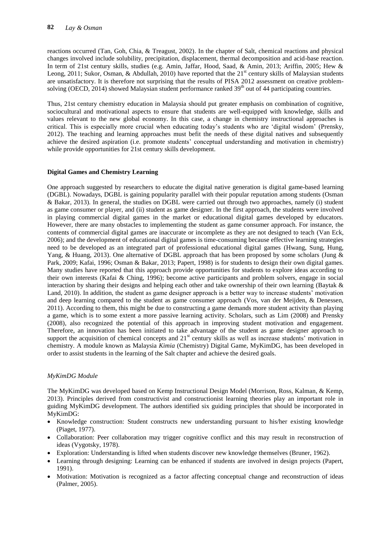reactions occurred (Tan, Goh, Chia, & Treagust, 2002). In the chapter of Salt, chemical reactions and physical changes involved include solubility, precipitation, displacement, thermal decomposition and acid-base reaction. In term of 21st century skills, studies (e.g. Amin, Jaffar, Hood, Saad, & Amin, 2013; Ariffin, 2005; Hew & Leong, 2011; Sukor, Osman, & Abdullah, 2010) have reported that the 21<sup>st</sup> century skills of Malaysian students are unsatisfactory. It is therefore not surprising that the results of PISA 2012 assessment on creative problemsolving (OECD, 2014) showed Malaysian student performance ranked 39<sup>th</sup> out of 44 participating countries.

Thus, 21st century chemistry education in Malaysia should put greater emphasis on combination of cognitive, sociocultural and motivational aspects to ensure that students are well-equipped with knowledge, skills and values relevant to the new global economy. In this case, a change in chemistry instructional approaches is critical. This is especially more crucial when educating today"s students who are "digital wisdom" (Prensky, 2012). The teaching and learning approaches must befit the needs of these digital natives and subsequently achieve the desired aspiration (i.e. promote students" conceptual understanding and motivation in chemistry) while provide opportunities for 21st century skills development.

#### **Digital Games and Chemistry Learning**

One approach suggested by researchers to educate the digital native generation is digital game-based learning (DGBL). Nowadays, DGBL is gaining popularity parallel with their popular reputation among students (Osman & Bakar, 2013). In general, the studies on DGBL were carried out through two approaches, namely (i) student as game consumer or player, and (ii) student as game designer. In the first approach, the students were involved in playing commercial digital games in the market or educational digital games developed by educators. However, there are many obstacles to implementing the student as game consumer approach. For instance, the contents of commercial digital games are inaccurate or incomplete as they are not designed to teach (Van Eck, 2006); and the development of educational digital games is time-consuming because effective learning strategies need to be developed as an integrated part of professional educational digital games (Hwang, Sung, Hung, Yang, & Huang, 2013). One alternative of DGBL approach that has been proposed by some scholars (Jung & Park, 2009; Kafai, 1996; Osman & Bakar, 2013; Papert, 1998) is for students to design their own digital games. Many studies have reported that this approach provide opportunities for students to explore ideas according to their own interests (Kafai & Ching, 1996); become active participants and problem solvers, engage in social interaction by sharing their designs and helping each other and take ownership of their own learning (Baytak & Land, 2010). In addition, the student as game designer approach is a better way to increase students" motivation and deep learning compared to the student as game consumer approach (Vos, van der Meijden, & Denessen, 2011). According to them, this might be due to constructing a game demands more student activity than playing a game, which is to some extent a more passive learning activity. Scholars, such as Lim (2008) and Prensky (2008), also recognized the potential of this approach in improving student motivation and engagement. Therefore, an innovation has been initiated to take advantage of the student as game designer approach to support the acquisition of chemical concepts and  $21<sup>st</sup>$  century skills as well as increase students' motivation in chemistry. A module known as Malaysia *Kimia* (Chemistry) Digital Game, MyKimDG, has been developed in order to assist students in the learning of the Salt chapter and achieve the desired goals.

#### *MyKimDG Module*

The MyKimDG was developed based on Kemp Instructional Design Model (Morrison, Ross, Kalman, & Kemp, 2013). Principles derived from constructivist and constructionist learning theories play an important role in guiding MyKimDG development. The authors identified six guiding principles that should be incorporated in MyKimDG:

- Knowledge construction: Student constructs new understanding pursuant to his/her existing knowledge (Piaget, 1977).
- Collaboration: Peer collaboration may trigger cognitive conflict and this may result in reconstruction of ideas (Vygotsky, 1978).
- Exploration: Understanding is lifted when students discover new knowledge themselves (Bruner, 1962).
- Learning through designing: Learning can be enhanced if students are involved in design projects (Papert, 1991).
- Motivation: Motivation is recognized as a factor affecting conceptual change and reconstruction of ideas (Palmer, 2005).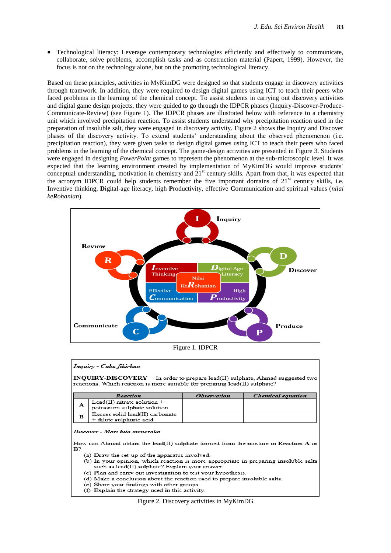Technological literacy: Leverage contemporary technologies efficiently and effectively to communicate, collaborate, solve problems, accomplish tasks and as construction material (Papert, 1999). However, the focus is not on the technology alone, but on the promoting technological literacy.

Based on these principles, activities in MyKimDG were designed so that students engage in discovery activities through teamwork. In addition, they were required to design digital games using ICT to teach their peers who faced problems in the learning of the chemical concept. To assist students in carrying out discovery activities and digital game design projects, they were guided to go through the IDPCR phases (Inquiry-Discover-Produce-Communicate-Review) (see Figure 1). The IDPCR phases are illustrated below with reference to a chemistry unit which involved precipitation reaction. To assist students understand why precipitation reaction used in the preparation of insoluble salt, they were engaged in discovery activity. Figure 2 shows the Inquiry and Discover phases of the discovery activity. To extend students' understanding about the observed phenomenon (i.e. precipitation reaction), they were given tasks to design digital games using ICT to teach their peers who faced problems in the learning of the chemical concept. The game-design activities are presented in Figure 3. Students were engaged in designing *PowerPoint* games to represent the phenomenon at the sub-microscopic level. It was expected that the learning environment created by implementation of MyKimDG would improve students' conceptual understanding, motivation in chemistry and 21<sup>st</sup> century skills. Apart from that, it was expected that the acronym IDPCR could help students remember the five important domains of 21<sup>st</sup> century skills, i.e. **I**nventive thinking, **D**igital-age literacy, high **P**roductivity, effective **C**ommunication and spiritual values (*nilai keRohanian*).



Figure 1. IDPCR

#### Inquiry - Cuba fikirkan

INQUIRY-DISCOVERY In order to prepare lead(II) sulphate, Ahmad suggested two reactions. Which reaction is more suitable for preparing lead(II) sulphate?

|   | Reaction                                                     | <i><b>Observation</b></i> | <i><b>Chemical equation</b></i> |
|---|--------------------------------------------------------------|---------------------------|---------------------------------|
| А | Lead(II) nitrate solution $+$<br>potassium sulphate solution |                           |                                 |
| в | Excess solid lead(II) carbonate<br>+ dilute sulphuric acid   |                           |                                 |

#### Discover - Mari kita meneroka

How can Ahmad obtain the lead(II) sulphate formed from the mixture in Reaction  ${\bf A}$  or  ${\bf B}$ ?

- (a) Draw the set-up of the apparatus involved.
- (b) In your opinion, which reaction is more appropriate in preparing insoluble salts such as lead(II) sulphate? Explain your answer.
- (c) Plan and carry out investigation to test your hypothesis.
- (d) Make a conclusion about the reaction used to prepare insoluble salts.
- (e) Share your findings with other groups.
- (f) Explain the strategy used in this activity.

Figure 2. Discovery activities in MyKimDG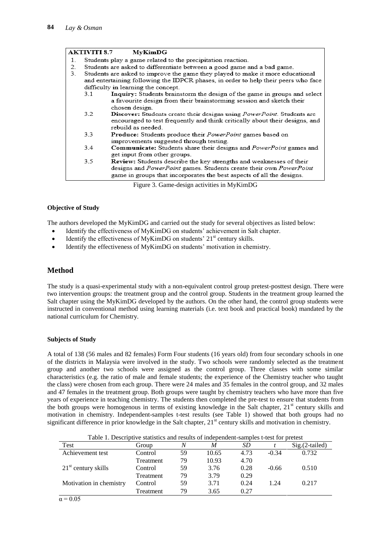|    | <b>AKTIVITI 8.7</b> | MyKimDG                                                                               |
|----|---------------------|---------------------------------------------------------------------------------------|
| 1. |                     | Students play a game related to the precipitation reaction.                           |
| 2. |                     | Students are asked to differentiate between a good game and a bad game.               |
| 3. |                     | Students are asked to improve the game they played to make it more educational        |
|    |                     | and entertaining following the IDPCR phases, in order to help their peers who face    |
|    |                     | difficulty in learning the concept.                                                   |
|    | 3.1                 | Inquiry: Students brainstorm the design of the game in groups and select              |
|    |                     | a favourite design from their brainstorming session and sketch their                  |
|    |                     | chosen design.                                                                        |
|    | 3.2                 | <b>Discover:</b> Students create their designs using <i>PowerPoint</i> . Students are |
|    |                     | encouraged to test frequently and think critically about their designs, and           |
|    |                     | rebuild as needed.                                                                    |
|    | 3.3                 | <b>Produce:</b> Students produce their <i>PowerPoint</i> games based on               |
|    |                     | improvements suggested through testing.                                               |
|    | 3.4                 | <b>Communicate:</b> Students share their designs and <i>PowerPoint</i> games and      |
|    |                     | get input from other groups.                                                          |
|    | 3.5                 | <b>Review:</b> Students describe the key strengths and weaknesses of their            |
|    |                     | designs and PowerPoint games. Students create their own PowerPoint                    |
|    |                     | game in groups that incorporates the best aspects of all the designs.                 |

Figure 3. Game-design activities in MyKimDG

#### **Objective of Study**

The authors developed the MyKimDG and carried out the study for several objectives as listed below:

- Identify the effectiveness of MyKimDG on students' achievement in Salt chapter.
- $\bullet$  Identify the effectiveness of MyKimDG on students' 21<sup>st</sup> century skills.
- Identify the effectiveness of MyKimDG on students' motivation in chemistry.

### **Method**

The study is a quasi-experimental study with a non-equivalent control group pretest-posttest design. There were two intervention groups: the treatment group and the control group. Students in the treatment group learned the Salt chapter using the MyKimDG developed by the authors. On the other hand, the control group students were instructed in conventional method using learning materials (i.e. text book and practical book) mandated by the national curriculum for Chemistry.

#### **Subjects of Study**

A total of 138 (56 males and 82 females) Form Four students (16 years old) from four secondary schools in one of the districts in Malaysia were involved in the study. Two schools were randomly selected as the treatment group and another two schools were assigned as the control group. Three classes with some similar characteristics (e.g. the ratio of male and female students; the experience of the Chemistry teacher who taught the class) were chosen from each group. There were 24 males and 35 females in the control group, and 32 males and 47 females in the treatment group. Both groups were taught by chemistry teachers who have more than five years of experience in teaching chemistry. The students then completed the pre-test to ensure that students from the both groups were homogenous in terms of existing knowledge in the Salt chapter,  $21<sup>st</sup>$  century skills and motivation in chemistry. Independent-samples t-test results (see Table 1) showed that both groups had no significant difference in prior knowledge in the Salt chapter,  $21<sup>st</sup>$  century skills and motivation in chemistry.

| Table 1. Descriptive statistics and results of independent-samples t-test for pretest |           |    |       |      |         |                  |  |  |  |
|---------------------------------------------------------------------------------------|-----------|----|-------|------|---------|------------------|--|--|--|
| Test                                                                                  | Group     |    | M     | SD   |         | $Sig.(2-tailed)$ |  |  |  |
| Achievement test                                                                      | Control   | 59 | 10.65 | 4.73 | $-0.34$ | 0.732            |  |  |  |
|                                                                                       | Treatment | 79 | 10.93 | 4.70 |         |                  |  |  |  |
| $21st$ century skills                                                                 | Control   | 59 | 3.76  | 0.28 | $-0.66$ | 0.510            |  |  |  |
|                                                                                       | Treatment | 79 | 3.79  | 0.29 |         |                  |  |  |  |
| Motivation in chemistry                                                               | Control   | 59 | 3.71  | 0.24 | 1.24    | 0.217            |  |  |  |
|                                                                                       | Treatment | 79 | 3.65  | 0.27 |         |                  |  |  |  |

Table 1. Descriptive statistics and results of independent-samples t-test for pretest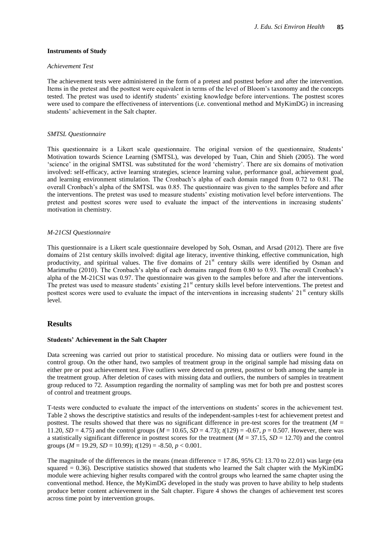#### **Instruments of Study**

#### *Achievement Test*

The achievement tests were administered in the form of a pretest and posttest before and after the intervention. Items in the pretest and the posttest were equivalent in terms of the level of Bloom"s taxonomy and the concepts tested. The pretest was used to identify students' existing knowledge before interventions. The posttest scores were used to compare the effectiveness of interventions (i.e. conventional method and MyKimDG) in increasing students' achievement in the Salt chapter.

#### *SMTSL Questionnaire*

This questionnaire is a Likert scale questionnaire. The original version of the questionnaire, Students" Motivation towards Science Learning (SMTSL), was developed by Tuan, Chin and Shieh (2005). The word "science" in the original SMTSL was substituted for the word "chemistry". There are six domains of motivation involved: self-efficacy, active learning strategies, science learning value, performance goal, achievement goal, and learning environment stimulation. The Cronbach's alpha of each domain ranged from 0.72 to 0.81. The overall Cronbach"s alpha of the SMTSL was 0.85. The questionnaire was given to the samples before and after the interventions. The pretest was used to measure students" existing motivation level before interventions. The pretest and posttest scores were used to evaluate the impact of the interventions in increasing students" motivation in chemistry.

#### *M-21CSI Questionnaire*

This questionnaire is a Likert scale questionnaire developed by Soh, Osman, and Arsad (2012). There are five domains of 21st century skills involved: digital age literacy, inventive thinking, effective communication, high productivity, and spiritual values. The five domains of 21<sup>st</sup> century skills were identified by Osman and Marimuthu (2010). The Cronbach's alpha of each domains ranged from 0.80 to 0.93. The overall Cronbach's alpha of the M-21CSI was 0.97. The questionnaire was given to the samples before and after the interventions. The pretest was used to measure students' existing 21<sup>st</sup> century skills level before interventions. The pretest and posttest scores were used to evaluate the impact of the interventions in increasing students'  $21<sup>st</sup>$  century skills level.

#### **Results**

#### **Students' Achievement in the Salt Chapter**

Data screening was carried out prior to statistical procedure. No missing data or outliers were found in the control group. On the other hand, two samples of treatment group in the original sample had missing data on either pre or post achievement test. Five outliers were detected on pretest, posttest or both among the sample in the treatment group. After deletion of cases with missing data and outliers, the numbers of samples in treatment group reduced to 72. Assumption regarding the normality of sampling was met for both pre and posttest scores of control and treatment groups.

T-tests were conducted to evaluate the impact of the interventions on students" scores in the achievement test. Table 2 shows the descriptive statistics and results of the independent-samples t-test for achievement pretest and posttest. The results showed that there was no significant difference in pre-test scores for the treatment (*M* = 11.20,  $SD = 4.75$  and the control groups ( $M = 10.65$ ,  $SD = 4.73$ );  $t(129) = -0.67$ ,  $p = 0.507$ . However, there was a statistically significant difference in posttest scores for the treatment (*M* = 37.15, *SD* = 12.70) and the control groups (*M* = 19.29, *SD* = 10.99); *t*(129) = -8.50, *p* < 0.001.

The magnitude of the differences in the means (mean difference  $= 17.86, 95\%$  Cl: 13.70 to 22.01) was large (eta squared = 0.36). Descriptive statistics showed that students who learned the Salt chapter with the MyKimDG module were achieving higher results compared with the control groups who learned the same chapter using the conventional method. Hence, the MyKimDG developed in the study was proven to have ability to help students produce better content achievement in the Salt chapter. Figure 4 shows the changes of achievement test scores across time point by intervention groups.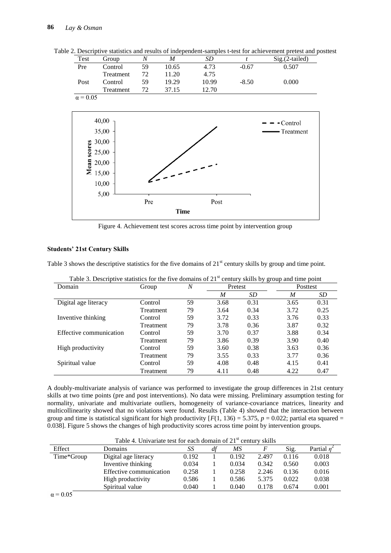Table 2. Descriptive statistics and results of independent-samples t-test for achievement pretest and posttest

| Test            | Group                                                                                                 | $\boldsymbol{N}$ | M           | SD    | $\boldsymbol{t}$ | Sig.(2-tailed) |
|-----------------|-------------------------------------------------------------------------------------------------------|------------------|-------------|-------|------------------|----------------|
| Pre             | Control                                                                                               | 59               | 10.65       | 4.73  | $-0.67$          | 0.507          |
|                 | Treatment                                                                                             | 72               | 11.20       | 4.75  |                  |                |
| Post            | Control                                                                                               | 59               | 19.29       | 10.99 | $-8.50$          | 0.000          |
|                 | Treatment                                                                                             | 72               | 37.15       | 12.70 |                  |                |
| $\alpha$ = 0.05 |                                                                                                       |                  |             |       |                  |                |
|                 |                                                                                                       |                  |             |       |                  |                |
|                 |                                                                                                       |                  |             |       |                  |                |
|                 | 40,00                                                                                                 |                  |             |       |                  | - Control      |
|                 | 35,00                                                                                                 |                  |             |       |                  | Treatment      |
|                 | 30,00                                                                                                 |                  |             |       |                  |                |
|                 |                                                                                                       |                  |             |       |                  |                |
|                 |                                                                                                       |                  |             |       |                  |                |
|                 |                                                                                                       |                  |             |       |                  |                |
|                 | $\begin{array}{l}\n\text{g} 30,00 \\ \text{g} 25,00 \\ \text{g} 20,00 \\ \text{g} 15,00\n\end{array}$ |                  |             |       |                  |                |
|                 | 10,00                                                                                                 |                  |             |       |                  |                |
|                 |                                                                                                       |                  |             |       |                  |                |
|                 | 5,00                                                                                                  |                  |             |       |                  |                |
|                 |                                                                                                       | Pre              |             | Post  |                  |                |
|                 |                                                                                                       |                  | <b>Time</b> |       |                  |                |

Figure 4. Achievement test scores across time point by intervention group

#### **Students' 21st Century Skills**

Table 3 shows the descriptive statistics for the five domains of 21<sup>st</sup> century skills by group and time point.

|                         |           |                |      | ັັ      | $\mathbf{r}$ |          |
|-------------------------|-----------|----------------|------|---------|--------------|----------|
| Domain                  | Group     | $\overline{N}$ |      | Pretest |              | Posttest |
|                         |           |                | M    | SD      | M            | SD       |
| Digital age literacy    | Control   | 59             | 3.68 | 0.31    | 3.65         | 0.31     |
|                         | Treatment | 79             | 3.64 | 0.34    | 3.72         | 0.25     |
| Inventive thinking      | Control   | 59             | 3.72 | 0.33    | 3.76         | 0.33     |
|                         | Treatment | 79             | 3.78 | 0.36    | 3.87         | 0.32     |
| Effective communication | Control   | 59             | 3.70 | 0.37    | 3.88         | 0.34     |
|                         | Treatment | 79             | 3.86 | 0.39    | 3.90         | 0.40     |
| High productivity       | Control   | 59             | 3.60 | 0.38    | 3.63         | 0.36     |
|                         | Treatment | 79             | 3.55 | 0.33    | 3.77         | 0.36     |
| Spiritual value         | Control   | 59             | 4.08 | 0.48    | 4.15         | 0.41     |
|                         | Treatment | 79             | 4.11 | 0.48    | 4.22         | 0.47     |

Table 3. Descriptive statistics for the five domains of  $21<sup>st</sup>$  century skills by group and time point

A doubly-multivariate analysis of variance was performed to investigate the group differences in 21st century skills at two time points (pre and post interventions). No data were missing. Preliminary assumption testing for normality, univariate and multivariate outliers, homogeneity of variance-covariance matrices, linearity and multicollinearity showed that no violations were found. Results (Table 4) showed that the interaction between group and time is statistical significant for high productivity  $[F(1, 136) = 5.375, p = 0.022$ ; partial eta squared = 0.038]. Figure 5 shows the changes of high productivity scores across time point by intervention groups.

|                 | Table 4. Univariate test for each domain of $21st$ century skills |       |    |       |       |       |                |
|-----------------|-------------------------------------------------------------------|-------|----|-------|-------|-------|----------------|
| Effect          | Domains                                                           | SS    | df | ΜS    |       | Sig.  | Partial $\eta$ |
| Time*Group      | Digital age literacy                                              | 0.192 |    | 0.192 | 2.497 | 0.116 | 0.018          |
|                 | Inventive thinking                                                | 0.034 |    | 0.034 | 0.342 | 0.560 | 0.003          |
|                 | Effective communication                                           | 0.258 |    | 0.258 | 2.246 | 0.136 | 0.016          |
|                 | High productivity                                                 | 0.586 |    | 0.586 | 5.375 | 0.022 | 0.038          |
|                 | Spiritual value                                                   | 0.040 |    | 0.040 | 0.178 | 0.674 | 0.001          |
| $\alpha$ = 0.05 |                                                                   |       |    |       |       |       |                |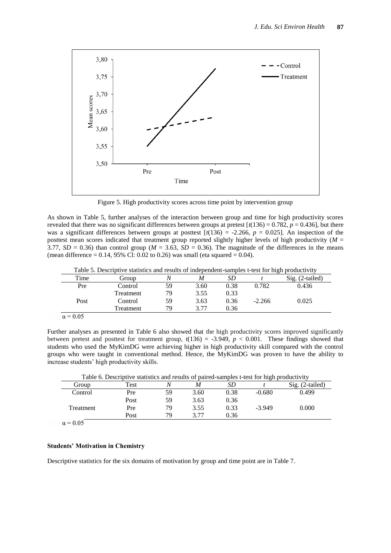

Figure 5. High productivity scores across time point by intervention group

As shown in Table 5, further analyses of the interaction between group and time for high productivity scores revealed that there was no significant differences between groups at pretest  $[t(136) = 0.782, p = 0.436]$ , but there was a significant differences between groups at posttest  $\lceil t(136) \rceil$  -2.266,  $p = 0.025$ ]. An inspection of the posttest mean scores indicated that treatment group reported slightly higher levels of high productivity (*M* = 3.77,  $SD = 0.36$ ) than control group ( $M = 3.63$ ,  $SD = 0.36$ ). The magnitude of the differences in the means (mean difference =  $0.14$ , 95% Cl: 0.02 to 0.26) was small (eta squared = 0.04).

|                 | Table 5. Descriptive statistics and results of independent-samples t-test for high productivity |    |      |      |          |                            |
|-----------------|-------------------------------------------------------------------------------------------------|----|------|------|----------|----------------------------|
| Time            | Group                                                                                           |    | M    |      |          | $\mathrm{Sig.}$ (2-tailed) |
| Pre             | Control                                                                                         | 59 | 3.60 | 0.38 | 0.782    | 0.436                      |
|                 | <b>Treatment</b>                                                                                | 79 | 3.55 | 0.33 |          |                            |
| Post            | Control                                                                                         | 59 | 3.63 | 0.36 | $-2.266$ | 0.025                      |
|                 | <b>Treatment</b>                                                                                | 79 | 3 77 | 0.36 |          |                            |
| $\alpha$ = 0.05 |                                                                                                 |    |      |      |          |                            |

Table 5. Descriptive statistics and results of independent-samples t-test for high productivity

Further analyses as presented in Table 6 also showed that the high productivity scores improved significantly between pretest and posttest for treatment group,  $t(136) = -3.949$ ,  $p < 0.001$ . These findings showed that students who used the MyKimDG were achieving higher in high productivity skill compared with the control groups who were taught in conventional method. Hence, the MyKimDG was proven to have the ability to increase students' high productivity skills.

Table 6. Descriptive statistics and results of paired-samples t-test for high productivity

| Group     | Test |    | M    | <i>SD</i> |          | Sig.<br>$(2-tailed)$ |
|-----------|------|----|------|-----------|----------|----------------------|
| Control   | Pre  | 59 | 3.60 | 0.38      | $-0.680$ | 0.499                |
|           | Post | 59 | 3.63 | 0.36      |          |                      |
| Treatment | Pre  | 79 | 3.55 | 0.33      | $-3.949$ | $0.000\,$            |
|           | Post | 79 | 3.77 | 0.36      |          |                      |
|           |      |    |      |           |          |                      |

 $\alpha$  = 0.05

#### **Students' Motivation in Chemistry**

Descriptive statistics for the six domains of motivation by group and time point are in Table 7.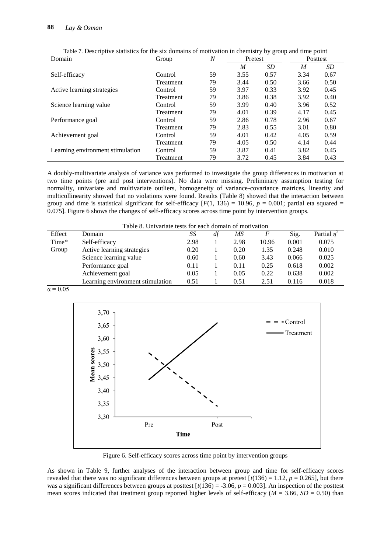| Domain                           | Group            | N  | Pretest |      |      | Posttest |
|----------------------------------|------------------|----|---------|------|------|----------|
|                                  |                  |    | M       | SD   | M    | SD       |
| Self-efficacy                    | Control          | 59 | 3.55    | 0.57 | 3.34 | 0.67     |
|                                  | Treatment        | 79 | 3.44    | 0.50 | 3.66 | 0.50     |
| Active learning strategies       | Control          | 59 | 3.97    | 0.33 | 3.92 | 0.45     |
|                                  | <b>Treatment</b> | 79 | 3.86    | 0.38 | 3.92 | 0.40     |
| Science learning value           | Control          | 59 | 3.99    | 0.40 | 3.96 | 0.52     |
|                                  | Treatment        | 79 | 4.01    | 0.39 | 4.17 | 0.45     |
| Performance goal                 | Control          | 59 | 2.86    | 0.78 | 2.96 | 0.67     |
|                                  | <b>Treatment</b> | 79 | 2.83    | 0.55 | 3.01 | 0.80     |
| Achievement goal                 | Control          | 59 | 4.01    | 0.42 | 4.05 | 0.59     |
|                                  | Treatment        | 79 | 4.05    | 0.50 | 4.14 | 0.44     |
| Learning environment stimulation | Control          | 59 | 3.87    | 0.41 | 3.82 | 0.45     |
|                                  | <b>Treatment</b> | 79 | 3.72    | 0.45 | 3.84 | 0.43     |

Table 7. Descriptive statistics for the six domains of motivation in chemistry by group and time point

A doubly-multivariate analysis of variance was performed to investigate the group differences in motivation at two time points (pre and post interventions). No data were missing. Preliminary assumption testing for normality, univariate and multivariate outliers, homogeneity of variance-covariance matrices, linearity and multicollinearity showed that no violations were found. Results (Table 8) showed that the interaction between group and time is statistical significant for self-efficacy  $[F(1, 136) = 10.96, p = 0.001$ ; partial eta squared = 0.075]. Figure 6 shows the changes of self-efficacy scores across time point by intervention groups.

|        | Table 8. Univariate tests for each domain of motivation |      |                 |      |       |       |                  |
|--------|---------------------------------------------------------|------|-----------------|------|-------|-------|------------------|
| Effect | Domain                                                  | SS   | $d\mathfrak{f}$ | ΜS   | F     | Sig.  | Partial $\eta^4$ |
| Time*  | Self-efficacy                                           | 2.98 |                 | 2.98 | 10.96 | 0.001 | 0.075            |
| Group  | Active learning strategies                              | 0.20 |                 | 0.20 | 1.35  | 0.248 | 0.010            |
|        | Science learning value                                  | 0.60 |                 | 0.60 | 3.43  | 0.066 | 0.025            |
|        | Performance goal                                        | 0.11 |                 | 0.11 | 0.25  | 0.618 | 0.002            |
|        | Achievement goal                                        | 0.05 |                 | 0.05 | 0.22  | 0.638 | 0.002            |
|        | Learning environment stimulation                        | 0.51 |                 | 0.51 | 2.51  | 0.116 | 0.018            |

 $\alpha$  = 0.05



Figure 6. Self-efficacy scores across time point by intervention groups

As shown in Table 9, further analyses of the interaction between group and time for self-efficacy scores revealed that there was no significant differences between groups at pretest  $\lceil t(136) = 1.12$ ,  $p = 0.265$ , but there was a significant differences between groups at posttest  $[t(136) = -3.06, p = 0.003]$ . An inspection of the posttest mean scores indicated that treatment group reported higher levels of self-efficacy ( $M = 3.66$ ,  $SD = 0.50$ ) than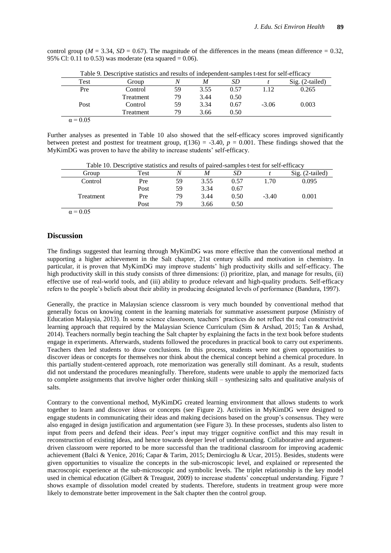control group ( $M = 3.34$ ,  $SD = 0.67$ ). The magnitude of the differences in the means (mean difference = 0.32, 95% Cl: 0.11 to 0.53) was moderate (eta squared = 0.06).

| Table 9. Describilive statistics and results of independent-samples t-test for self-efficacy |           |    |      |      |         |                            |  |  |  |
|----------------------------------------------------------------------------------------------|-----------|----|------|------|---------|----------------------------|--|--|--|
| Test                                                                                         | Group     | N  | M    | SD   |         | $\mathrm{Sig.}$ (2-tailed) |  |  |  |
| Pre                                                                                          | Control   | 59 | 3.55 | 0.57 | 1.12    | 0.265                      |  |  |  |
|                                                                                              | Treatment | 79 | 3.44 | 0.50 |         |                            |  |  |  |
| Post                                                                                         | Control   | 59 | 3.34 | 0.67 | $-3.06$ | 0.003                      |  |  |  |
|                                                                                              | Treatment | 79 | 3.66 | 0.50 |         |                            |  |  |  |
| $\alpha$ = 0.05                                                                              |           |    |      |      |         |                            |  |  |  |

Table 9*.* Descriptive statistics and results of independent-samples t-test for self-efficacy

Further analyses as presented in Table 10 also showed that the self-efficacy scores improved significantly between pretest and posttest for treatment group,  $t(136) = -3.40$ ,  $p = 0.001$ . These findings showed that the MyKimDG was proven to have the ability to increase students' self-efficacy.

| Table 10. Descriptive statistics and results of paired-samples t-test for self-efficacy |      |    |      |      |         |                   |
|-----------------------------------------------------------------------------------------|------|----|------|------|---------|-------------------|
| Group                                                                                   | Test |    | M    | SD   |         | $Sig. (2-tailed)$ |
| Control                                                                                 | Pre  | 59 | 3.55 | 0.57 | 1.70    | 0.095             |
|                                                                                         | Post | 59 | 3.34 | 0.67 |         |                   |
| Treatment                                                                               | Pre  | 79 | 3.44 | 0.50 | $-3.40$ | 0.001             |
|                                                                                         | Post | 79 | 3.66 | 0.50 |         |                   |
| $\alpha = 0.05$                                                                         |      |    |      |      |         |                   |

#### **Discussion**

The findings suggested that learning through MyKimDG was more effective than the conventional method at supporting a higher achievement in the Salt chapter, 21st century skills and motivation in chemistry. In particular, it is proven that MyKimDG may improve students" high productivity skills and self-efficacy. The high productivity skill in this study consists of three dimensions: (i) prioritize, plan, and manage for results, (ii) effective use of real-world tools, and (iii) ability to produce relevant and high-quality products. Self-efficacy refers to the people"s beliefs about their ability in producing designated levels of performance (Bandura, 1997).

Generally, the practice in Malaysian science classroom is very much bounded by conventional method that generally focus on knowing content in the learning materials for summative assessment purpose (Ministry of Education Malaysia, 2013). In some science classroom, teachers" practices do not reflect the real constructivist learning approach that required by the Malaysian Science Curriculum (Sim & Arshad, 2015; Tan & Arshad, 2014). Teachers normally begin teaching the Salt chapter by explaining the facts in the text book before students engage in experiments. Afterwards, students followed the procedures in practical book to carry out experiments. Teachers then led students to draw conclusions. In this process, students were not given opportunities to discover ideas or concepts for themselves nor think about the chemical concept behind a chemical procedure. In this partially student-centered approach, rote memorization was generally still dominant. As a result, students did not understand the procedures meaningfully. Therefore, students were unable to apply the memorized facts to complete assignments that involve higher order thinking skill – synthesizing salts and qualitative analysis of salts.

Contrary to the conventional method, MyKimDG created learning environment that allows students to work together to learn and discover ideas or concepts (see Figure 2). Activities in MyKimDG were designed to engage students in communicating their ideas and making decisions based on the group"s consensus. They were also engaged in design justification and argumentation (see Figure 3). In these processes, students also listen to input from peers and defend their ideas. Peer"s input may trigger cognitive conflict and this may result in reconstruction of existing ideas, and hence towards deeper level of understanding. Collaborative and argumentdriven classroom were reported to be more successful than the traditional classroom for improving academic achievement (Balci & Yenice, 2016; Capar & Tarim, 2015; Demircioglu & Ucar, 2015). Besides, students were given opportunities to visualize the concepts in the sub-microscopic level, and explained or represented the macroscopic experience at the sub-microscopic and symbolic levels. The triplet relationship is the key model used in chemical education (Gilbert & Treagust, 2009) to increase students' conceptual understanding. Figure 7 shows example of dissolution model created by students. Therefore, students in treatment group were more likely to demonstrate better improvement in the Salt chapter then the control group.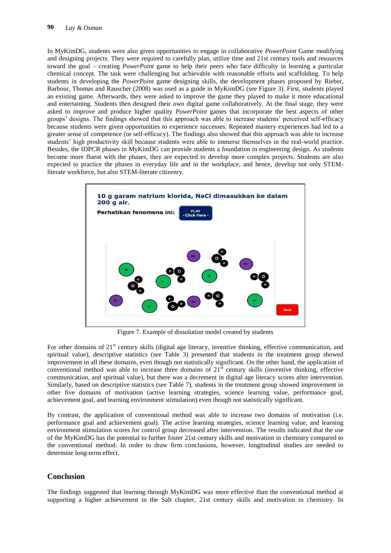In MyKimDG, students were also given opportunities to engage in collaborative *PowerPoint* Game modifying and designing projects. They were required to carefully plan, utilize time and 21st century tools and resources toward the goal – creating *PowerPoint* game to help their peers who face difficulty in learning a particular chemical concept. The task were challenging but achievable with reasonable efforts and scaffolding. To help students in developing the *PowerPoint* game designing skills, the development phases proposed by Rieber, Barbour, Thomas and Rauscher (2008) was used as a guide in MyKimDG (see Figure 3). First, students played an existing game. Afterwards, they were asked to improve the game they played to make it more educational and entertaining. Students then designed their own digital game collaboratively. At the final stage, they were asked to improve and produce higher quality *PowerPoint* games that incorporate the best aspects of other groups" designs. The findings showed that this approach was able to increase students" perceived self-efficacy because students were given opportunities to experience successes. Repeated mastery experiences had led to a greater sense of competence (or self-efficacy). The findings also showed that this approach was able to increase students" high productivity skill because students were able to immerse themselves in the real-world practice. Besides, the IDPCR phases in MyKimDG can provide students a foundation in engineering design. As students become more fluent with the phases, they are expected to develop more complex projects. Students are also expected to practice the phases in everyday life and in the workplace, and hence, develop not only STEMliterate workforce, but also STEM-literate citizenry.



Figure 7. Example of dissolution model created by students

For other domains of  $21<sup>st</sup>$  century skills (digital age literacy, inventive thinking, effective communication, and spiritual value), descriptive statistics (see Table 3) presented that students in the treatment group showed improvement in all these domains, even though not statistically significant. On the other hand, the application of conventional method was able to increase three domains of 21<sup>st</sup> century skills (inventive thinking, effective communication, and spiritual value), but there was a decrement in digital age literacy scores after intervention. Similarly, based on descriptive statistics (see Table 7), students in the treatment group showed improvement in other five domains of motivation (active learning strategies, science learning value, performance goal, achievement goal, and learning environment stimulation) even though not statistically significant.

By contrast, the application of conventional method was able to increase two domains of motivation (i.e. performance goal and achievement goal). The active learning strategies, science learning value, and learning environment stimulation scores for control group decreased after intervention. The results indicated that the use of the MyKimDG has the potential to further foster 21st century skills and motivation in chemistry compared to the conventional method. In order to draw firm conclusions, however, longitudinal studies are needed to determine long-term effect.

### **Conclusion**

The findings suggested that learning through MyKimDG was more effective than the conventional method at supporting a higher achievement in the Salt chapter, 21st century skills and motivation in chemistry. In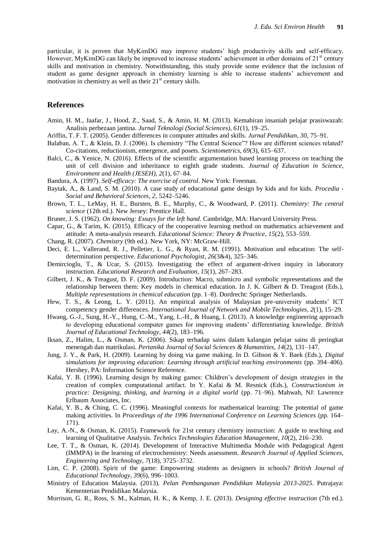particular, it is proven that MyKimDG may improve students" high productivity skills and self-efficacy. However, MyKimDG can likely be improved to increase students' achievement in other domains of 21<sup>st</sup> century skills and motivation in chemistry. Notwithstanding, this study provide some evidence that the inclusion of student as game designer approach in chemistry learning is able to increase students" achievement and motivation in chemistry as well as their  $21<sup>st</sup>$  century skills.

#### **References**

- Amin, H. M., Jaafar, J., Hood, Z., Saad, S., & Amin, H. M. (2013). Kemahiran insaniah pelajar prasiswazah: Analisis perbezaan jantina. *Jurnal Teknologi (Social Sciences)*, *61*(1), 19–25.
- Ariffin, T. F. T. (2005). Gender differences in computer attitudes and skills. *Jurnal Pendidikan*, *30*, 75–91.
- Balaban, A. T., & Klein, D. J. (2006). Is chemistry "The Central Science"? How are different sciences related? Co-citations, reductionism, emergence, and posets. *Scientometrics*, *69*(3), 615–637.
- Balci, C., & Yenice, N. (2016). Effects of the scientific argumentation based learning process on teaching the unit of cell division and inheritance to eighth grade students. *Journal of Education in Science, Environment and Health (JESEH)*, *2*(1), 67–84.
- Bandura, A. (1997). *Self-efficacy: The exercise of control*. New York: Freeman.
- Baytak, A., & Land, S. M. (2010). A case study of educational game design by kids and for kids. *Procedia - Social and Behavioral Sciences*, *2*, 5242–5246.
- Brown, T. L., LeMay, H. E., Bursten, B. E., Murphy, C., & Woodward, P. (2011). *Chemistry: The central science* (12th ed.). New Jersey: Prentice Hall.
- Bruner, J. S. (1962). *On knowing: Essays for the left hand*. Cambridge, MA: Harvard University Press.
- Capar, G., & Tarim, K. (2015). Efficacy of the cooperative learning method on mathematics achievement and attitude: A meta-analysis research. *Educational Science: Theory & Practice*, *15*(2), 553–559.
- Chang, R. (2007). *Chemistry* (9th ed.). New York, NY: McGraw-Hill.
- Deci, E. L., Vallerand, R. J., Pelletier, L. G., & Ryan, R. M. (1991). Motivation and education: The selfdetermination perspective. *Educational Psychologist*, *26*(3&4), 325–346.
- Demircioglu, T., & Ucar, S. (2015). Investigating the effect of argument-driven inquiry in laboratory instruction. *Educational Research and Evaluation*, *15*(1), 267–283.
- Gilbert, J. K., & Treagust, D. F. (2009). Introduction: Macro, submicro and symbolic representations and the relationship between them: Key models in chemical education. In J. K. Gilbert & D. Treagust (Eds.), *Multiple representations in chemical education* (pp. 1–8). Dordrecht: Springer Netherlands.
- Hew, T. S., & Leong, L. Y. (2011). An empirical analysis of Malaysian pre-university students" ICT competency gender differences. *International Journal of Network and Mobile Technologies*, *2*(1), 15–29.
- Hwang, G.-J., Sung, H.-Y., Hung, C.-M., Yang, L.-H., & Huang, I. (2013). A knowledge engineering approach to developing educational computer games for improving students" differentiating knowledge. *British Journal of Educational Technology*, *44*(2), 183–196.
- Iksan, Z., Halim, L., & Osman, K. (2006). Sikap terhadap sains dalam kalangan pelajar sains di peringkat menengah dan matrikulasi. *Pertanika Journal of Social Sciences & Humanities*, *14*(2), 131–147.
- Jung, J. Y., & Park, H. (2009). Learning by doing via game making. In D. Gibson & Y. Baek (Eds.), *Digital simulations for improving education: Learning through artificial teaching environments* (pp. 394–406). Hershey, PA: Information Science Reference.
- Kafai, Y. B. (1996). Learning design by making games: Children"s development of design strategies in the creation of complex computational artifact. In Y. Kafai & M. Resnick (Eds.), *Constructionism in practice: Designing, thinking, and learning in a digital world* (pp. 71–96). Mahwah, NJ: Lawrence Erlbaum Associates, Inc.
- Kafai, Y. B., & Ching, C. C. (1996). Meaningful contexts for mathematical learning: The potential of game making activities. In *Proceedings of the 1996 International Conference on Learning Sciences* (pp. 164– 171).
- Lay, A.-N., & Osman, K. (2015). Framework for 21st century chemistry instruction: A guide to teaching and learning of Qualitative Analysis. *Technics Technologies Education Management*, *10*(2), 216–230.
- Lee, T. T., & Osman, K. (2014). Development of Interactive Multimedia Module with Pedagogical Agent (IMMPA) in the learning of electrochemistry: Needs assessment. *Research Journal of Applied Sciences, Engineering and Technology*, *7*(18), 3725–3732.
- Lim, C. P. (2008). Spirit of the game: Empowering students as designers in schools? *British Journal of Educational Technology*, *39*(6), 996–1003.
- Ministry of Education Malaysia. (2013). *Pelan Pembangunan Pendidikan Malaysia 2013-2025*. Putrajaya: Kementerian Pendidikan Malaysia.
- Morrison, G. R., Ross, S. M., Kalman, H. K., & Kemp, J. E. (2013). *Designing effective instruction* (7th ed.).